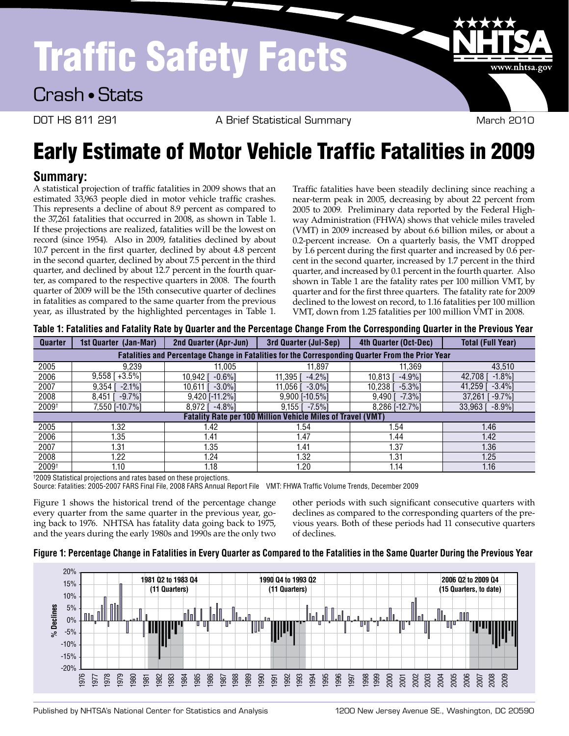# Traffic Safety Facts

Crash • Stats

DOT HS 811 291 **A Brief Statistical Summary** March 2010

www.nhtsa.gov

# Early Estimate of Motor Vehicle Traffic Fatalities in 2009

### **Summary:**

A statistical projection of traffic fatalities in 2009 shows that an estimated 33,963 people died in motor vehicle traffic crashes. This represents a decline of about 8.9 percent as compared to the 37,261 fatalities that occurred in 2008, as shown in Table 1. If these projections are realized, fatalities will be the lowest on record (since 1954). Also in 2009, fatalities declined by about 10.7 percent in the first quarter, declined by about 4.8 percent in the second quarter, declined by about 7.5 percent in the third quarter, and declined by about 12.7 percent in the fourth quarter, as compared to the respective quarters in 2008. The fourth quarter of 2009 will be the 15th consecutive quarter of declines in fatalities as compared to the same quarter from the previous year, as illustrated by the highlighted percentages in Table 1.

Traffic fatalities have been steadily declining since reaching a near-term peak in 2005, decreasing by about 22 percent from 2005 to 2009. Preliminary data reported by the Federal Highway Administration (FHWA) shows that vehicle miles traveled (VMT) in 2009 increased by about 6.6 billion miles, or about a 0.2-percent increase. On a quarterly basis, the VMT dropped by 1.6 percent during the first quarter and increased by 0.6 percent in the second quarter, increased by 1.7 percent in the third quarter, and increased by 0.1 percent in the fourth quarter. Also shown in Table 1 are the fatality rates per 100 million VMT, by quarter and for the first three quarters. The fatality rate for 2009 declined to the lowest on record, to 1.16 fatalities per 100 million VMT, down from 1.25 fatalities per 100 million VMT in 2008.

| <b>Quarter</b>                                                                                   | 1st Quarter (Jan-Mar) | <b>2nd Quarter (Apr-Jun)</b> | <b>3rd Quarter (Jul-Sep)</b> | 4th Quarter (Oct-Dec)   | <b>Total (Full Year)</b> |  |
|--------------------------------------------------------------------------------------------------|-----------------------|------------------------------|------------------------------|-------------------------|--------------------------|--|
| Fatalities and Percentage Change in Fatalities for the Corresponding Quarter From the Prior Year |                       |                              |                              |                         |                          |  |
| 2005                                                                                             | 9.239                 | 11.005                       | 11.897                       | 11.369                  | 43.510                   |  |
| 2006                                                                                             | $9,558$ [ $+3.5\%$ ]  | $-0.6\%$ ]<br>10.942 I       | 11.395 I<br>$-4.2\%$ ]       | $-4.9%$ ]<br>10.813 I   | 42.708<br>$-1.8\%$       |  |
| 2007                                                                                             | 9,354<br>$-2.1\%$     | $-3.0\%$<br>10,611           | 11.056 l<br>$-3.0\%$ ]       | $10,238$ [<br>$-5.3%$ ] | $-3.4\%$ ]<br>41,259 [   |  |
| 2008                                                                                             | $-9.7\%$<br>8.451     | $9.420$ [-11.2%]             | $9.900$ [-10.5%]             | $-7.3\%$<br>$9,490$ [   | $37,261$ [ -9.7%]        |  |
| 2009 <sup>+</sup>                                                                                | 7,550 [-10.7%]        | $-4.8\%$ ]<br>8.972 I        | $-7.5\%$ ]<br>$9,155$ [      | 8,286 [-12.7%]          | $-8.9\%$ ]<br>33,963     |  |
| <b>Fatality Rate per 100 Million Vehicle Miles of Travel (VMT)</b>                               |                       |                              |                              |                         |                          |  |
| 2005                                                                                             | 1.32                  | 1.42                         | 1.54                         | 1.54                    | 1.46                     |  |
| 2006                                                                                             | 1.35                  | 1.41                         | l.47                         | 1.44                    | 1.42                     |  |
| 2007                                                                                             | 1.31                  | 1.35                         | 1.41                         | 1.37                    | 1.36                     |  |
| 2008                                                                                             | 1.22                  | 1.24                         | 1.32                         | 1.31                    | 1.25                     |  |
| 2009 <sup>†</sup>                                                                                | 1.10                  | 1.18                         | 1.20                         | 1.14                    | 1.16                     |  |

|  | Table 1: Fatalities and Fatality Rate by Quarter and the Percentage Change From the Corresponding Quarter in the Previous Year |
|--|--------------------------------------------------------------------------------------------------------------------------------|
|  |                                                                                                                                |

† 2009 Statistical projections and rates based on these projections.

Source: Fatalities: 2005-2007 FARS Final File, 2008 FARS Annual Report File VMT: FHWA Traffic Volume Trends, December 2009

Figure 1 shows the historical trend of the percentage change every quarter from the same quarter in the previous year, going back to 1976. NHTSA has fatality data going back to 1975, and the years during the early 1980s and 1990s are the only two other periods with such significant consecutive quarters with declines as compared to the corresponding quarters of the previous years. Both of these periods had 11 consecutive quarters of declines.

#### **Figure 1: Percentage Change in Fatalities in Every Quarter as Compared to the Fatalities in the Same Quarter During the Previous Year**



Published by NHTSA's National Center for Statistics and Analysis 1200 New Jersey Avenue SE., Washington, DC 20590